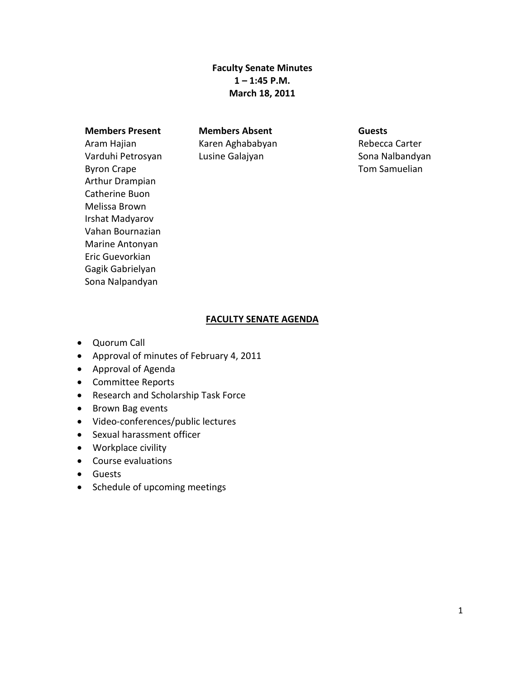**Faculty Senate Minutes 1 – 1:45 P.M. March 18, 2011**

#### **Members Present Members Absent Guests**

Aram Hajian Varduhi Petrosyan Byron Crape Arthur Drampian Catherine Buon Melissa Brown Irshat Madyarov Vahan Bournazian Marine Antonyan Eric Guevorkian Gagik Gabrielyan Sona Nalpandyan

Karen Aghababyan Lusine Galajyan

Rebecca Carter Sona Nalbandyan Tom Samuelian

#### **FACULTY SENATE AGENDA**

- Quorum Call
- Approval of minutes of February 4, 2011
- Approval of Agenda
- Committee Reports
- Research and Scholarship Task Force
- Brown Bag events
- Video-conferences/public lectures
- Sexual harassment officer
- Workplace civility
- Course evaluations
- Guests
- Schedule of upcoming meetings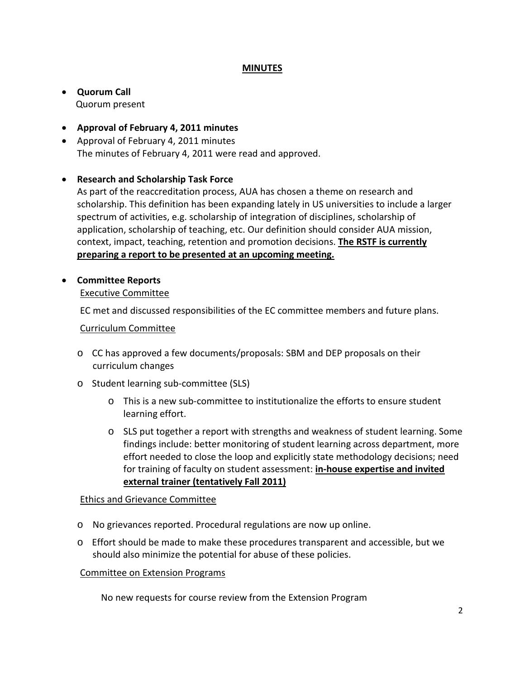# **MINUTES**

### • **Quorum Call** Quorum present

- **Approval of February 4, 2011 minutes**
- Approval of February 4, 2011 minutes The minutes of February 4, 2011 were read and approved.

# • **Research and Scholarship Task Force**

As part of the reaccreditation process, AUA has chosen a theme on research and scholarship. This definition has been expanding lately in US universities to include a larger spectrum of activities, e.g. scholarship of integration of disciplines, scholarship of application, scholarship of teaching, etc. Our definition should consider AUA mission, context, impact, teaching, retention and promotion decisions. **The RSTF is currently preparing a report to be presented at an upcoming meeting.**

# • **Committee Reports**

Executive Committee

EC met and discussed responsibilities of the EC committee members and future plans.

#### Curriculum Committee

- o CC has approved a few documents/proposals: SBM and DEP proposals on their curriculum changes
- o Student learning sub-committee (SLS)
	- o This is a new sub-committee to institutionalize the efforts to ensure student learning effort.
	- $\circ$  SLS put together a report with strengths and weakness of student learning. Some findings include: better monitoring of student learning across department, more effort needed to close the loop and explicitly state methodology decisions; need for training of faculty on student assessment: **in-house expertise and invited external trainer (tentatively Fall 2011)**

### Ethics and Grievance Committee

- o No grievances reported. Procedural regulations are now up online.
- o Effort should be made to make these procedures transparent and accessible, but we should also minimize the potential for abuse of these policies.

#### Committee on Extension Programs

No new requests for course review from the Extension Program